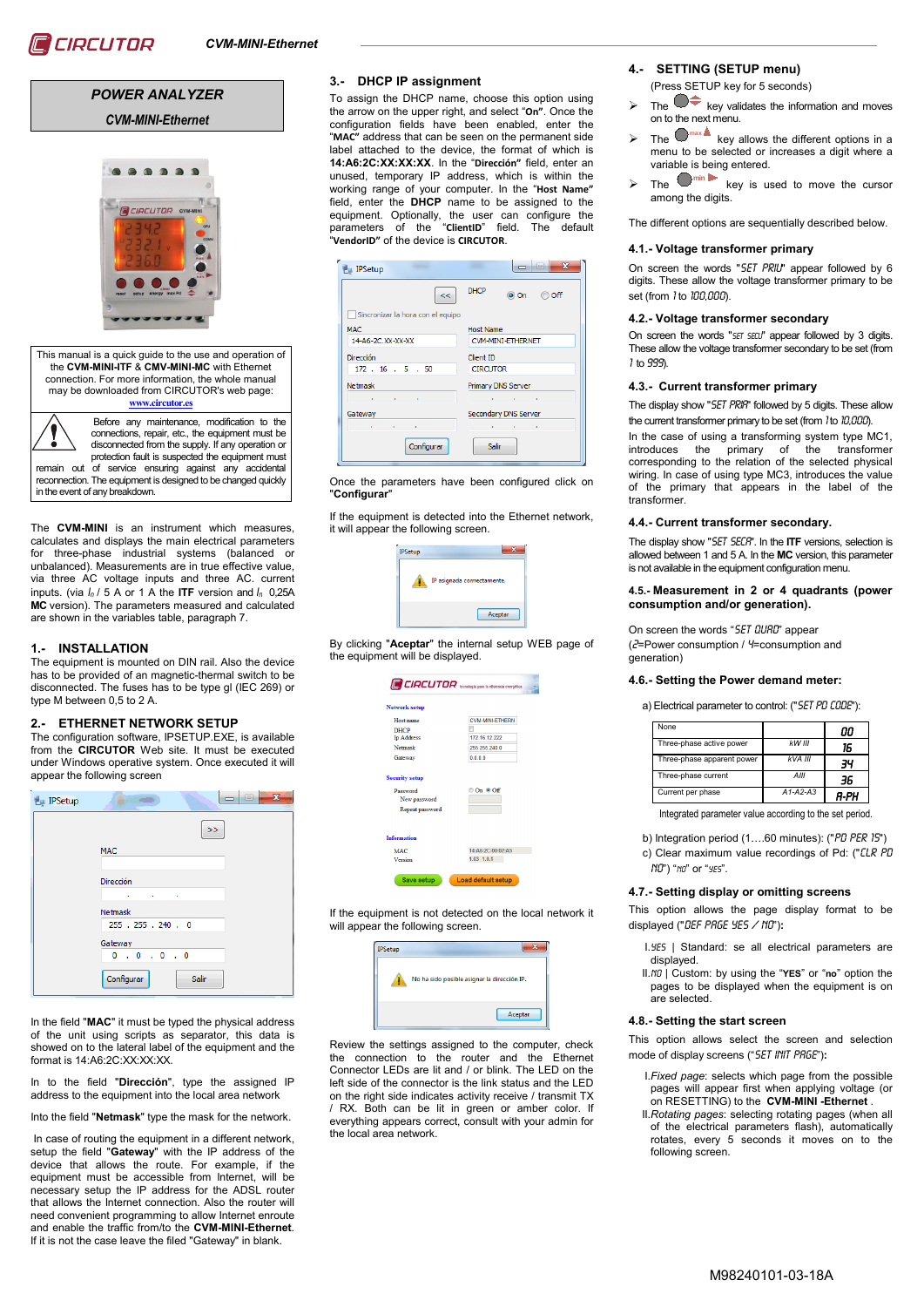

# ...... CIRCUTOR CV  $\bullet$

This manual is a quick quide to the use and operation of the **CVM-MINI-ITF** & **CMV-MINI-MC** with Ethernet connection. For more information, the whole manual may be downloaded from CIRCUTOR's web page: **[www.circutor.es](http://www.circutor.es/)** Before any maintenance, modification to the

connections, repair, etc., the equipment must be disconnected from the supply. If any operation or protection fault is suspected the equipment must remain out of service ensuring against any accidental reconnection. The equipment is designed to be changed quickly in the event of any breakdown.

The **CVM-MINI** is an instrument which measures, calculates and displays the main electrical parameters for three-phase industrial systems (balanced or unbalanced). Measurements are in true effective value, via three AC voltage inputs and three AC. current inputs. (via *In* / 5 A or 1 A the **ITF** version and *In* 0,25A **MC** version). The parameters measured and calculated are shown in the variables table, paragraph 7.

## **1.- INSTALLATION**

The equipment is mounted on DIN rail. Also the device has to be provided of an magnetic-thermal switch to be disconnected. The fuses has to be type gl (IEC 269) or type M between 0,5 to 2 A.

## **2.- ETHERNET NETWORK SETUP**

The configuration software, IPSETUP.EXE, is available from the **CIRCUTOR** Web site. It must be executed under Windows operative system. Once executed it will appear the following screen

| <b>L.</b> IPSetup | $-x$<br>$-1$ $-$                         |
|-------------------|------------------------------------------|
|                   | $\rightarrow$                            |
|                   | <b>MAC</b>                               |
|                   | Dirección                                |
|                   | $\mathbf{r}$<br>×<br>٠<br><b>Netmask</b> |
|                   | 255 . 255 . 240 . 0<br>Gateway           |
|                   | 0.0.0.0<br>Salir                         |
|                   | Configurar                               |

In the field "**MAC**" it must be typed the physical address of the unit using scripts as separator, this data is showed on to the lateral label of the equipment and the format is 14:A6:2C:XX:XX:XX.

In to the field "**Dirección**", type the assigned IP address to the equipment into the local area network

Into the field "**Netmask**" type the mask for the network.

In case of routing the equipment in a different network, setup the field "**Gateway**" with the IP address of the device that allows the route. For example, if the equipment must be accessible from Internet, will be necessary setup the IP address for the ADSL router that allows the Internet connection. Also the router will need convenient programming to allow Internet enroute and enable the traffic from/to the **CVM-MINI-Ethernet**. If it is not the case leave the filed "Gateway" in blank.

### **3.- DHCP IP assignment**

To assign the DHCP name, choose this option using the arrow on the upper right, and select "**On"**. Once the configuration fields have been enabled, enter the "**MAC"** address that can be seen on the permanent side label attached to the device, the format of which is **14:A6:2C:XX:XX:XX**. In the "**Dirección"** field, enter an unused, temporary IP address, which is within the working range of your computer. In the "**Host Name"** field, enter the **DHCP** name to be assigned to the equipment. Optionally, the user can configure the parameters of the "**ClientID**" field. The default "**VendorID"** of the device is **CIRCUTOR**.

| <b>Fo</b> IPSetup                 | $-x$<br>القارص                     |
|-----------------------------------|------------------------------------|
| <<                                | <b>DHCP</b><br>© off<br>$\odot$ On |
| Sincronizar la hora con el equipo |                                    |
| <b>MAC</b>                        | <b>Host Name</b>                   |
| 14-A6-2C.XX-XX-XX                 | <b>CVM-MINI-ETHERNET</b>           |
| Dirección<br>172.16.5.50          | Client ID<br><b>CIRCUTOR</b>       |
| <b>Netmask</b>                    | Primary DNS Server                 |
| . .<br>٠<br>٠                     | ٠<br>٠                             |
| Gateway                           | Secondary DNS Server               |
| ٠<br>٠<br>٠                       | ×<br>×<br>٠                        |
| Configurar                        | Salir                              |

Once the parameters have been configured click on "**Configurar**"

If the equipment is detected into the Ethernet network, it will appear the following screen.

| IPSetup |                             |
|---------|-----------------------------|
|         | IP asignada corrrectamente. |
|         | Aceptar                     |

By clicking "**Aceptar**" the internal setup WEB page of the equipment will be displayed.

| <b>Network setup</b> |                        |
|----------------------|------------------------|
| Host name            | <b>CVM-MINI-ETHERN</b> |
| <b>DHCP</b>          |                        |
| Ip Address           | 172 16 12 222          |
| Netmask              | 255 255 240 0          |
| Gateway              | 0.0.0.0                |
|                      |                        |
| Repeat password      |                        |
| <b>Information</b>   |                        |
| MAC.                 | 14:A6:2C:00:02:A5      |

If the equipment is not detected on the local network it will appear the following screen.

| <b>IPSetup</b> |                                             |
|----------------|---------------------------------------------|
|                | No ha sido posible asignar la dirección IP. |
|                | Aceptar                                     |

Review the settings assigned to the computer, check the connection to the router and the Ethernet Connector LEDs are lit and / or blink. The LED on the left side of the connector is the link status and the LED on the right side indicates activity receive / transmit TX / RX. Both can be lit in green or amber color. If everything appears correct, consult with your admin for the local area network.

## **4.- SETTING (SETUP menu)**

(Press SETUP key for 5 seconds)

- The  $\bullet$  key validates the information and moves on to the next menu.
- The  $\bigcirc$ <sup>max</sup> key allows the different options in a menu to be selected or increases a digit where a variable is being entered.
- > The **winkler** key is used to move the cursor among the digits.

The different options are sequentially described below.

#### **4.1.- Voltage transformer primary**

On screen the words "SET PRIU" appear followed by 6 digits. These allow the voltage transformer primary to be set (from 1 to 100,000).

### **4.2.- Voltage transformer secondary**

On screen the words "SET SECU" appear followed by 3 digits. These allow the voltage transformer secondary to be set (from 1 to 999).

#### **4.3.- Current transformer primary**

The display show "SET PRIR" followed by 5 digits. These allow the current transformer primary to be set (from 1 to 10,000).

In the case of using a transforming system type MC1, introduces the primary of the transformer corresponding to the relation of the selected physical wiring. In case of using type MC3, introduces the value of the primary that appears in the label of the transformer.

#### **4.4.- Current transformer secondary.**

The display show "SET SECA". In the **ITF** versions, selection is allowed between 1 and 5 A. In the **MC** version, this parameter is not available in the equipment configuration menu.

#### **4.5.- Measurement in 2 or 4 quadrants (power consumption and/or generation).**

On screen the words "SET QURD" appear (2=Power consumption / 4=consumption and generation)

#### **4.6.- Setting the Power demand meter:**

a) Electrical parameter to control: ("SET PD CODE"):

| <b>None</b>                |            | OO   |
|----------------------------|------------|------|
| Three-phase active power   | kW III     | 16   |
| Three-phase apparent power | kVA III    |      |
| Three-phase current        | AIII       | 36   |
| Current per phase          | $A1-A2-A3$ | R-PH |
| .                          | .          |      |

Integrated parameter value according to the set period.

b) Integration period (1....60 minutes): ("PD PER 15") c) Clear maximum value recordings of Pd: ("CLR PD no") "no" or "YES".

#### **4.7.- Setting display or omitting screens**

This option allows the page display format to be displayed ("DEF PRGE YES / NO"):

- I.YES | Standard: se all electrical parameters are displayed.
- II.no | Custom: by using the "**YES**" or "**no**" option the pages to be displayed when the equipment is on are selected.

#### **4.8.- Setting the start screen**

This option allows select the screen and selection mode of display screens ("5ET INIT PRGE"):

- I.*Fixed page*: selects which page from the possible pages will appear first when applying voltage (or on RESETTING) to the **CVM-MINI -Ethernet** .
- II.*Rotating pages*: selecting rotating pages (when all of the electrical parameters flash), automatically rotates, every 5 seconds it moves on to the following screen.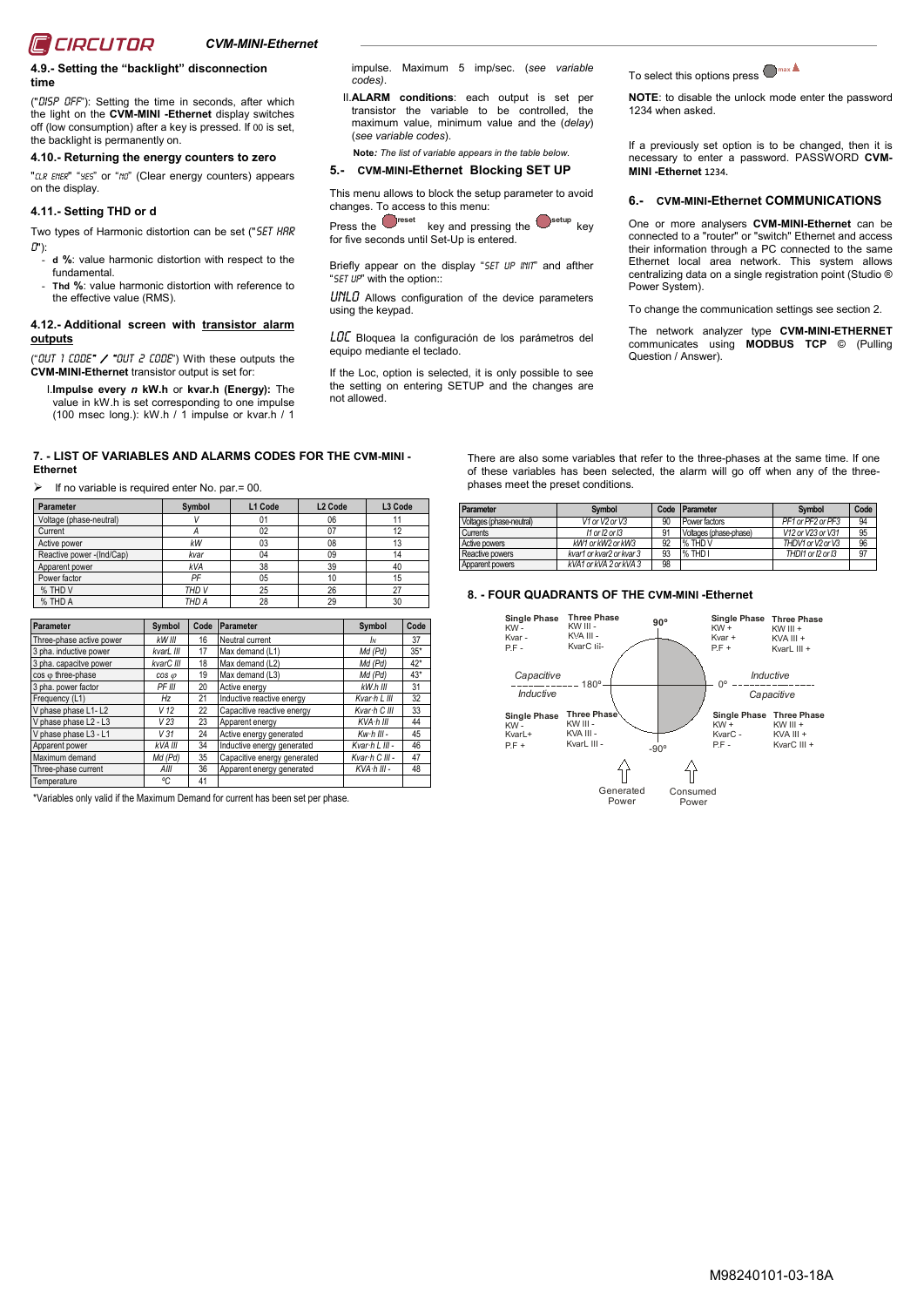*CVM-MINI-Ethernet*

## **4.9.- Setting the "backlight" disconnection time**

("DISP OFF"): Setting the time in seconds, after which the light on the **CVM-MINI -Ethernet** display switches off (low consumption) after a key is pressed. If 00 is set, the backlight is permanently on.

## **4.10.- Returning the energy counters to zero**

"CLR ENER" "YES" or "NO" (Clear energy counters) appears on the display.

#### **4.11.- Setting THD or d**

CIRCUTOR

Two types of Harmonic distortion can be set ("5ET HRR d"):

- **d %**: value harmonic distortion with respect to the fundamental.
- **Thd %**: value harmonic distortion with reference to the effective value (RMS).

#### **4.12.- Additional screen with transistor alarm outputs**

("OUT 1 CODE"  $\diagup$  "OUT 2 CODE") With these outputs the **CVM-MINI-Ethernet** transistor output is set for:

I.**Impulse every** *n* **kW.h** or **kvar.h (Energy):** The value in kW.h is set corresponding to one impulse (100 msec long.): kW.h / 1 impulse or kvar.h / 1

#### impulse. Maximum 5 imp/sec. (*see variable codes)*.

II.**ALARM conditions**: each output is set per transistor the variable to be controlled, the maximum value, minimum value and the (*delay*) (*see variable codes*).

**Note***: The list of variable appears in the table below.*

## **5.- CVM-MINI-Ethernet Blocking SET UP**

This menu allows to block the setup parameter to avoid changes. To access to this menu:

Press the **O**<sup>reset</sup> key and pressing the setup key for five seconds until Set-Up is entered.

Briefly appear on the display "SET UP INIT" and afther "SET UP" with the option::

 $UNLO$  Allows configuration of the device parameters using the keypad.

LOC Bloquea la configuración de los parámetros del equipo mediante el teclado.

If the Loc, option is selected, it is only possible to see the setting on entering SETUP and the changes are not allowed.

To select this options press **O**<sub>max</sub>

**NOTE**: to disable the unlock mode enter the password 1234 when asked.

If a previously set option is to be changed, then it is necessary to enter a password. PASSWORD **CVM-MINI -Ethernet 1234.**

## **6.- CVM-MINI-Ethernet COMMUNICATIONS**

One or more analysers **CVM-MINI-Ethernet** can be connected to a "router" or "switch" Ethernet and access their information through a PC connected to the same Ethernet local area network. This system allows centralizing data on a single registration point (Studio ® Power System).

To change the communication settings see section 2.

The network analyzer type **CVM-MINI-ETHERNET** communicates using **MODBUS TCP** © (Pulling Question / Answer).

## **7. - LIST OF VARIABLES AND ALARMS CODES FOR THE CVM-MINI - Ethernet**

If no variable is required enter No. par.= 00.

| Parameter                 | Symbol     | L1 Code | L <sub>2</sub> Code | L <sub>3</sub> Code |
|---------------------------|------------|---------|---------------------|---------------------|
| Voltage (phase-neutral)   |            | 01      | 06                  |                     |
| Current                   |            | 02      |                     | 12                  |
| Active power              | kW         | 03      | 08                  | 13                  |
| Reactive power -(Ind/Cap) | kvar       | 04      | 09                  | 14                  |
| Apparent power            | <b>kVA</b> | 38      | 39                  | 40                  |
| Power factor              | ΡF         | 05      |                     | 15                  |
| % THD V                   | THD V      | 25      | 26                  | 27                  |
| % THD A                   | THD A      | 28      | 29                  | 30                  |

| Parameter                | Symbol        | Code | Parameter                   | Symbol         | Code  |
|--------------------------|---------------|------|-----------------------------|----------------|-------|
| Three-phase active power | kW III        | 16   | Neutral current             | ΙN             | 37    |
| 3 pha. inductive power   | kvarL III     | 17   | Max demand (L1)             | Md (Pd)        | $35*$ |
| 3 pha. capacitve power   | kvarC III     | 18   | Max demand (L2)             | Md (Pd)        | $42*$ |
| cos o three-phase        | $cos \varphi$ | 19   | Max demand (L3)             | Md (Pd)        | $43*$ |
| 3 pha. power factor      | PF III        | 20   | Active energy               | kW.h III       | 31    |
| Frequency (L1)           | Hz            | 21   | Inductive reactive energy   | Kvar h L III   | 32    |
| V phase phase L1-L2      | V 12          | 22   | Capacitive reactive energy  | Kvar h C III   | 33    |
| V phase phase L2 - L3    | V 23          | 23   | Apparent energy             | KVA h III      | 44    |
| V phase phase L3 - L1    | V 31          | 24   | Active energy generated     | Kw.h III -     | 45    |
| Apparent power           | kVA III       | 34   | Inductive energy generated  | Kvar h L III - | 46    |
| Maximum demand           | Md (Pd)       | 35   | Capacitive energy generated | Kvar h C III - | 47    |
| Three-phase current      | AIII          | 36   | Apparent energy generated   | KVA·h III -    | 48    |
| Temperature              | °C            | 41   |                             |                |       |

\*Variables only valid if the Maximum Demand for current has been set per phase.

There are also some variables that refer to the three-phases at the same time. If one of these variables has been selected, the alarm will go off when any of the threephases meet the preset conditions.

| Parameter                | <b>Symbol</b>            | Code | Parameter              | <b>Symbol</b>         | Code |
|--------------------------|--------------------------|------|------------------------|-----------------------|------|
| Voltages (phase-neutral) | V1 or $V2$ or $V3$       | 90   | Power factors          | PF1 or PF2 or PF3     | 94   |
| Currents                 | $11$ or $12$ or $13$     | 91   | Voltages (phase-phase) | V12 or V23 or V31     | 95   |
| Active powers            | kW1 or kW2 or kW3        | 92   | % THD V                | THDV1 or V2 or V3     | 96   |
| Reactive powers          | kvar1 or kvar2 or kvar 3 | 93   | %THDI                  | THDI1 or $12$ or $13$ | 97   |
| Apparent powers          | kVA1 or kVA 2 or kVA 3   | 98   |                        |                       |      |

## **8. - FOUR QUADRANTS OF THE CVM-MINI -Ethernet**